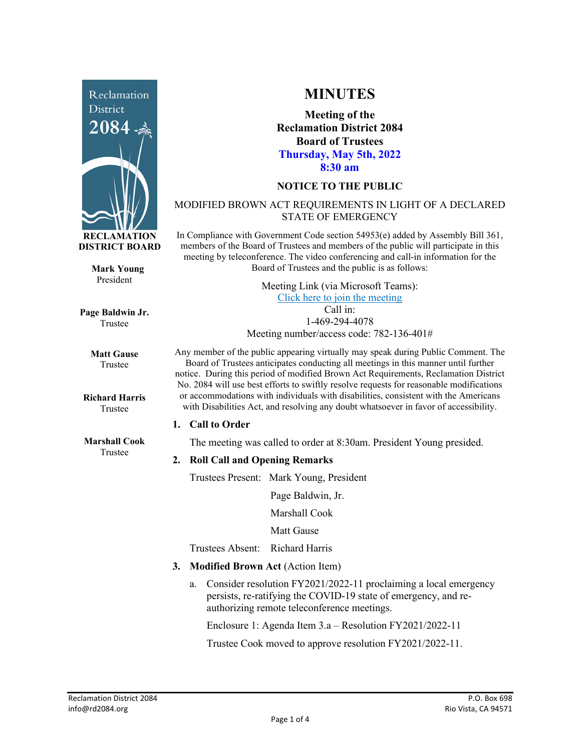

**Mark Young** President

**Page Baldwin Jr.** Trustee

> **Matt Gause** Trustee

**Richard Harris** Trustee

**Marshall Cook** Trustee

# **MINUTES**

**Meeting of the Reclamation District 2084 Board of Trustees Thursday, May 5th, 2022 8:30 am**

## **NOTICE TO THE PUBLIC**

## MODIFIED BROWN ACT REQUIREMENTS IN LIGHT OF A DECLARED STATE OF EMERGENCY

In Compliance with Government Code section 54953(e) added by Assembly Bill 361, members of the Board of Trustees and members of the public will participate in this meeting by teleconference. The video conferencing and call-in information for the Board of Trustees and the public is as follows:

> Meeting Link (via Microsoft Teams): [Click here to join the meeting](https://teams.microsoft.com/l/meetup-join/19%3ameeting_NzRkNTUwODUtNzk5Zi00YzkxLTk1YmEtNjU5OGZlZDk1OTcz%40thread.v2/0?context=%7b%22Tid%22%3a%22f9038203-c87c-4f0e-b326-970a381acd40%22%2c%22Oid%22%3a%22b6a515a8-4d0a-410e-b81a-1dc60ae8c01d%22%7d) Call in: 1-469-294-4078

Meeting number/access code: 782-136-401#

Any member of the public appearing virtually may speak during Public Comment. The Board of Trustees anticipates conducting all meetings in this manner until further notice. During this period of modified Brown Act Requirements, Reclamation District No. 2084 will use best efforts to swiftly resolve requests for reasonable modifications or accommodations with individuals with disabilities, consistent with the Americans with Disabilities Act, and resolving any doubt whatsoever in favor of accessibility.

#### **1. Call to Order**

The meeting was called to order at 8:30am. President Young presided.

# **2. Roll Call and Opening Remarks**

Trustees Present: Mark Young, President

Page Baldwin, Jr.

Marshall Cook

Matt Gause

Trustees Absent: Richard Harris

- **3. Modified Brown Act** (Action Item)
	- a. Consider resolution FY2021/2022-11 proclaiming a local emergency persists, re-ratifying the COVID-19 state of emergency, and reauthorizing remote teleconference meetings.

Enclosure 1: Agenda Item 3.a – Resolution FY2021/2022-11

Trustee Cook moved to approve resolution FY2021/2022-11.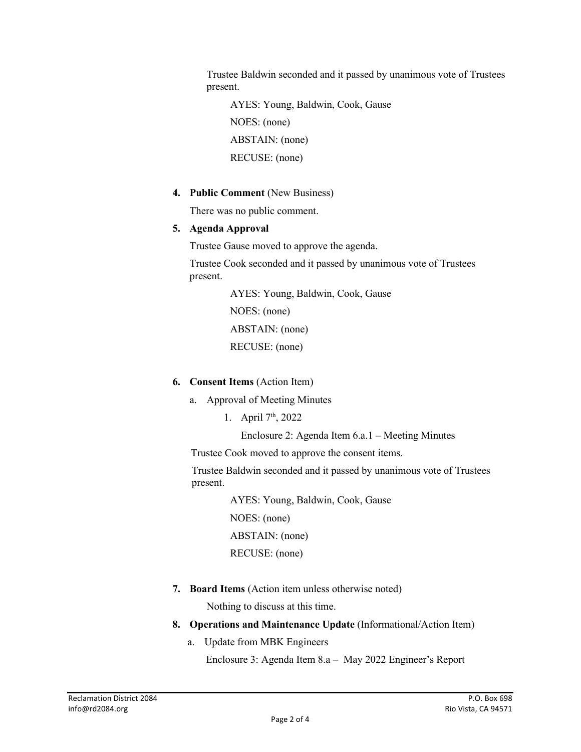Trustee Baldwin seconded and it passed by unanimous vote of Trustees present.

 AYES: Young, Baldwin, Cook, Gause NOES: (none) ABSTAIN: (none) RECUSE: (none)

**4. Public Comment** (New Business)

There was no public comment.

## **5. Agenda Approval**

Trustee Gause moved to approve the agenda.

Trustee Cook seconded and it passed by unanimous vote of Trustees present.

> AYES: Young, Baldwin, Cook, Gause NOES: (none) ABSTAIN: (none) RECUSE: (none)

- **6. Consent Items** (Action Item)
	- a. Approval of Meeting Minutes
		- 1. April 7th, 2022

Enclosure 2: Agenda Item 6.a.1 – Meeting Minutes

Trustee Cook moved to approve the consent items.

Trustee Baldwin seconded and it passed by unanimous vote of Trustees present.

> AYES: Young, Baldwin, Cook, Gause NOES: (none) ABSTAIN: (none) RECUSE: (none)

**7. Board Items** (Action item unless otherwise noted)

Nothing to discuss at this time.

- **8. Operations and Maintenance Update** (Informational/Action Item)
	- a. Update from MBK Engineers

Enclosure 3: Agenda Item 8.a – May 2022 Engineer's Report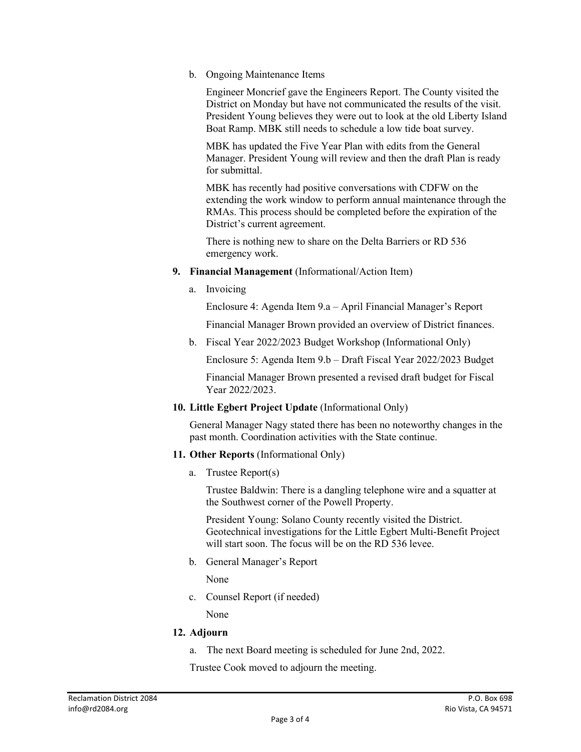b. Ongoing Maintenance Items

Engineer Moncrief gave the Engineers Report. The County visited the District on Monday but have not communicated the results of the visit. President Young believes they were out to look at the old Liberty Island Boat Ramp. MBK still needs to schedule a low tide boat survey.

MBK has updated the Five Year Plan with edits from the General Manager. President Young will review and then the draft Plan is ready for submittal.

MBK has recently had positive conversations with CDFW on the extending the work window to perform annual maintenance through the RMAs. This process should be completed before the expiration of the District's current agreement.

There is nothing new to share on the Delta Barriers or RD 536 emergency work.

- **9. Financial Management** (Informational/Action Item)
	- a. Invoicing

Enclosure 4: Agenda Item 9.a – April Financial Manager's Report

Financial Manager Brown provided an overview of District finances.

b. Fiscal Year 2022/2023 Budget Workshop (Informational Only)

Enclosure 5: Agenda Item 9.b – Draft Fiscal Year 2022/2023 Budget

Financial Manager Brown presented a revised draft budget for Fiscal Year 2022/2023.

**10. Little Egbert Project Update** (Informational Only)

General Manager Nagy stated there has been no noteworthy changes in the past month. Coordination activities with the State continue.

- **11. Other Reports** (Informational Only)
	- a. Trustee Report(s)

Trustee Baldwin: There is a dangling telephone wire and a squatter at the Southwest corner of the Powell Property.

President Young: Solano County recently visited the District. Geotechnical investigations for the Little Egbert Multi-Benefit Project will start soon. The focus will be on the RD 536 levee.

b. General Manager's Report

None

c. Counsel Report (if needed)

None

# **12. Adjourn**

a. The next Board meeting is scheduled for June 2nd, 2022.

Trustee Cook moved to adjourn the meeting.